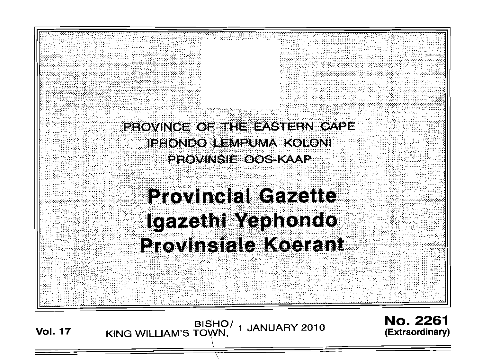

1 JANUARY 2010

**(Extraordinary)**

 $\overline{ }$ \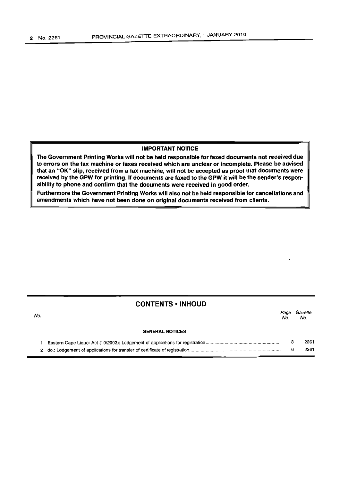No.

## IMPORTANT NOTICE

The Government Printing Works will not be held responsible for faxed documents not received due to errors on the fax machine or faxes received which are unclear or incomplete. Please be advised that an "OK" slip, received from a fax machine, will not be accepted as proof that documents were received by the GPW for printing. If documents are faxed to the GPW it will be the sender's responsibility to phone and confirm that the documents were received in good order.

Furthermore the Government Printing Works will also not be held responsible for cancellations and amendments which have not been done on original documents received from clients.

# CONTENTS • INHOUD

*Page Gazette* No. No.

### GENERAL NOTICES

|  | 2261 |
|--|------|
|  | 2261 |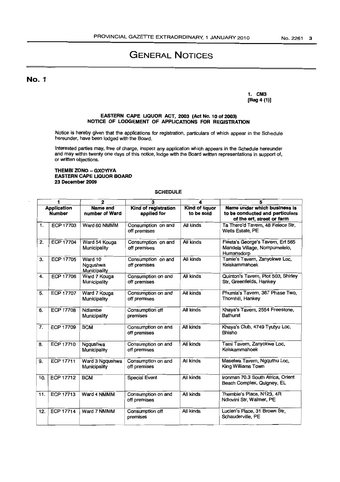# GENERAL NOTICES

No.1

1. CM3 [Reg 4 (1)]

#### EASTERN CAPE UQUOR ACT, 2003 (Act No. 10 of 2003) NOTICE OF LODGEMENT OF APPLICATIONS FOR REGISTRATION

Notice is hereby given that the applications for registration, particulars of which appear in the Schedule hereunder, have been lodged with the Board.

Interested parties may, free of charge, inspect any application which appears in the Schedule hereunder and may within twenty one days of this notice, lodge with the Board written representations in support of, or written objections.

### THEMBI ZONO - GXOYlYA EASTERN CAPE LIQUOR BOARD 23 December 2009

### **SCHEDULE**

| 1                                   |                  | $\mathbf{2}$                        | 3                                   | 4                                   | 5                                                                                             |
|-------------------------------------|------------------|-------------------------------------|-------------------------------------|-------------------------------------|-----------------------------------------------------------------------------------------------|
| <b>Application</b><br><b>Number</b> |                  | Name and<br>number of Ward          | Kind of registration<br>applied for | <b>Kind of liquor</b><br>to be sold | Name under which business is<br>to be conducted and particulars<br>of the erf, street or farm |
| 1.                                  | <b>ECP 17703</b> | Ward 60 NMMM                        | Consumption on and<br>off premises  | All kinds                           | Ta Thero'd Tavern, 48 Felece Str,<br><b>Wells Estate, PE</b>                                  |
| 2.                                  | <b>ECP 17704</b> | Ward 54 Kouga<br>Municipality       | Consumption on and<br>off premises  | All kinds                           | Fiesta's George's Tavern, Erf 565<br>Mandela Village, Nompumelelo,<br>Humansdorp              |
| З.                                  | ECP 17705        | Ward 10<br>Ngqushwa<br>Municipality | Consumption on and<br>off premises  | All kinds                           | Tamie's Tavern, Zanyokwe Loc,<br>Keiskammahoek                                                |
| 4.                                  | <b>ECP 17706</b> | Ward 7 Kouga<br>Municipality        | Consumption on and<br>off premises  | All kinds                           | Quinton's Tavern, Plot 503, Shirley<br>Str, Greenfields, Hankey                               |
| 5.                                  | <b>ECP 17707</b> | Ward 7 Kouga<br>Municipality        | Consumption on and<br>off premises  | All kinds                           | Phumia's Tavern, 367 Phase Two,<br>Thornhill, Hankey                                          |
| 6.                                  | <b>ECP 17708</b> | Ndlambe<br>Municipality             | Consumption off<br>premises         | All kinds                           | Khaya's Tavern, 2554 Freestone,<br><b>Bathurst</b>                                            |
| 7.                                  | <b>ECP 17709</b> | <b>BCM</b>                          | Consumption on and<br>off premises  | All kinds                           | Khaya's Club, 4749 Tyutyu Loc,<br><b>Bhisho</b>                                               |
| 8.                                  | <b>ECP 17710</b> | Ngqushwa<br>Municipality            | Consumption on and<br>off premises  | All kinds                           | Tami Tavern, Zanyokwe Loc,<br>Keiskammahoek                                                   |
| 9.                                  | <b>ECP 17711</b> | Ward 3 Ngqushwa<br>Municipality     | Consumption on and<br>off premises  | All kinds                           | Maselwa Tavern, Ngquthu Loc,<br>King Williams Town                                            |
| 10.                                 | <b>ECP 17712</b> | <b>BCM</b>                          | <b>Special Event</b>                | All kinds                           | Ironman 70.3 South Africa, Orient<br>Beach Complex, Quigney, EL                               |
| 11.                                 | <b>ECP 17713</b> | Ward 4 NMMM                         | Consumption on and<br>off premises  | All kinds                           | Thembie's Place, N123, 4R<br>Ndlovini Str, Walmer, PE                                         |
| 12.                                 | <b>ECP 17714</b> | Ward 7 NMMM                         | Consumption off<br>premises         | All kinds                           | Lucien's Place, 31 Brown Str,<br>Schauderville, PE                                            |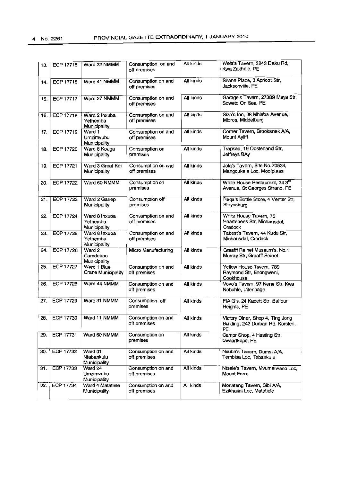| 13. | <b>ECP 17715</b> | Ward 22 NMMM                                | Consumption on and<br>off premises | All kinds        | Wela's Tavern, 3243 Daku Rd,<br>Kwa Zakhele, PE                             |
|-----|------------------|---------------------------------------------|------------------------------------|------------------|-----------------------------------------------------------------------------|
| 14. | ECP 17716        | Ward 41 NMMM                                | Consumption on and<br>off premises | All kinds        | Shane Place, 3 Apricot Str,<br>Jacksonville, PE                             |
| 15. | <b>ECP 17717</b> | Ward 27 NMMM                                | Consumption on and<br>off premises | All kinds        | Garage's Tavern, 27389 Maya Str,<br>Soweto On Sea, PE                       |
| 16. | ECP 17718        | Ward 2 Inxuba<br>Yethemba<br>Municipality   | Consumption on and<br>off premises | All kinds        | Siza's Inn, 38 Mhlaba Avenue,<br>Midros, Middelburg                         |
| 17. | <b>ECP 17719</b> | Ward 1<br>Umzimvubu<br>Municipality         | Consumption on and<br>off premises | All kinds        | Corner Tavern, Brooksnek A/A,<br>Mount Ayliff                               |
| 18. | <b>ECP 17720</b> | Ward 8 Kouga<br>Municipality                | Consumption on<br>premises         | All kinds        | Trapkap, 19 Oosterland Str,<br>Jeffreys BAy                                 |
| 19. | <b>ECP 17721</b> | Ward 3 Great Kei<br>Municipality            | Consumption on and<br>off premises | <b>All kinds</b> | Jola's Tavern, Site No. 70534,<br>Mangqukela Loc, Mooiplaas                 |
| 20. | <b>ECP 17722</b> | Ward 60 NMMM                                | Consumption on<br>premises         | All kinds        | White House Restaurant, 24 3 <sup>rd</sup><br>Avenue, St Georges Strand, PE |
| 21. | ECP 17723        | Ward 2 Gariep<br>Municipality               | Consumption off<br>premises        | All kinds        | Raga's Bottle Store, 4 Venter Str,<br>Steynsburg                            |
| 22. | <b>ECP 17724</b> | Ward 8 Inxuba<br>Yethemba<br>Municipality   | Consumption on and<br>off premises | All kinds        | White House Tavern, 75<br>Haartebees Str, Michausdal,<br>Cradock            |
| 23. | <b>ECP 17725</b> | Ward 8 Inxuba<br>Yethemba<br>Municipality   | Consumption on and<br>off premises | All kinds        | Tabest's Tavern, 44 Kudu Str,<br>Michausdal, Cradock                        |
| 24. | ECP 17726        | Ward 2<br>Camdeboo<br>Municipality          | Micro Manufacturing                | All kinds        | Graafff Reinet Museum's, No.1<br>Murray Str, Graafff Reinet                 |
| 25. | <b>ECP 17727</b> | Ward 1 Blue<br>Crane Municipality           | Consumption on and<br>off premises | All kinds        | Yellow House Tavern, 789<br>Raymond Str, Bhongweni,<br>Cookhouse            |
| 26. | ECP 17728        | Ward 44 NMMM                                | Consumption on and<br>off premises | All kinds        | Vovo's Tavern, 97 Nene Str, Kwa<br>Nobuhle, Uitenhage                       |
| 27. | ECP 17729        | Ward 31 NMMM                                | Consumption off<br>premises        | All kinds        | FIA G's, 24 Kadett Str, Balfour<br>Heights, PE                              |
| 28. | ECP 17730        | Ward 11 NMMM                                | Consumption on and<br>off premises | All kinds        | Victory Diner, Shop 4, Ting Jong<br>Building, 242 Durban Rd, Korsten,<br>PE |
| 29. | ECP 17731        | Ward 60 NMMM                                | Consumption on<br>premises         | All kinds        | Campr Shop, 4 Hasting Str,<br>Swaartkops, PE                                |
| 30. | <b>ECP 17732</b> | Ward 01<br>Ntabankulu<br>Municipality       | Consumption on and<br>off premises | All kinds        | Nxuba's Tavern, Dumsi A/A,<br>Tembisa Loc, Tabankulu                        |
| 31. | ECP 17733        | Ward 24<br>Umzimvubu<br><b>Municipality</b> | Consumption on and<br>off premises | All kinds        | Ntsele's Tavern, Mvumelwano Loc,<br><b>Mount Frere</b>                      |
| 32. | <b>ECP 17734</b> | Ward 4 Matatiele<br>Municipality            | Consumption on and<br>off premises | Ali kinds        | Monateng Tavern, Sibi A/A,<br>Ezikhalini Loc, Matatiele                     |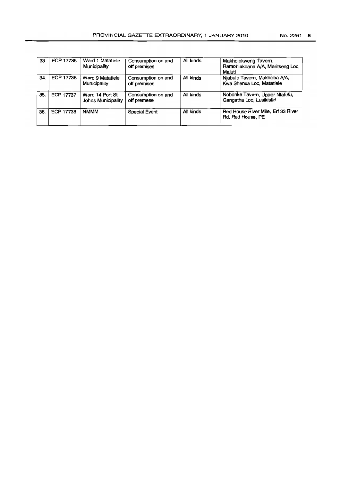| 33. | <b>ECP 17735</b> | Ward 1 Matatiele<br>Municipality      | Consumption on and<br>off premises | All kinds | Makholpkweng Tavern,<br>Ramohlakoana A/A, Maritseng Loc,<br>Maluti |
|-----|------------------|---------------------------------------|------------------------------------|-----------|--------------------------------------------------------------------|
| 34. | ECP 17736        | Ward 9 Matatiele<br>Municipality      | Consumption on and<br>off premises | All kinds | Njabulo Tavern, Makhoba A/A,<br>Kwa Shenxa Loc, Matatiele          |
| 35. | ECP 17737        | Ward 14 Port St<br>Johns Municipality | Consumption on and<br>off premese  | All kinds | Nobonke Tavern, Upper Ntafufu,<br>Gangatha Loc. Lusikisiki         |
| 36. | <b>ECP 17738</b> | <b>NMMM</b>                           | <b>Special Event</b>               | All kinds | Red House River Mile, Erf 33 River<br>Rd, Red House, PE            |